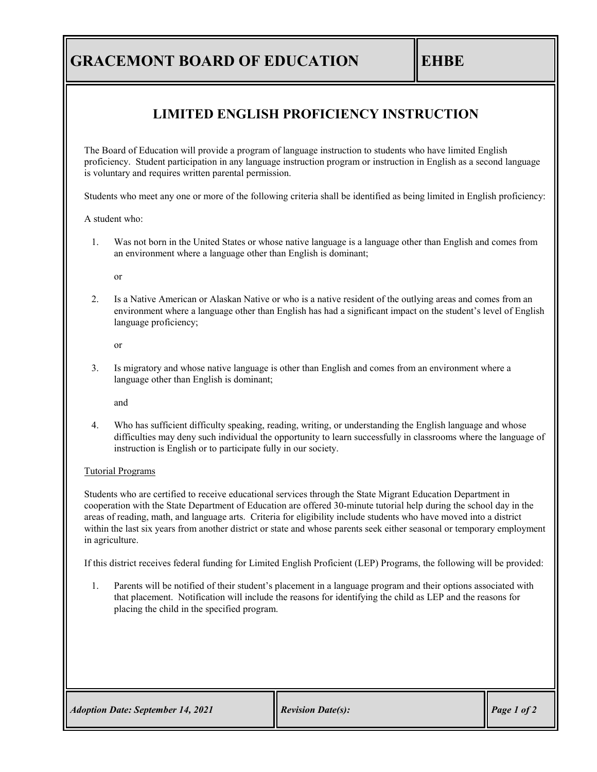## **GRACEMONT BOARD OF EDUCATION EHBE**

#### **LIMITED ENGLISH PROFICIENCY INSTRUCTION**

The Board of Education will provide a program of language instruction to students who have limited English proficiency. Student participation in any language instruction program or instruction in English as a second language is voluntary and requires written parental permission.

Students who meet any one or more of the following criteria shall be identified as being limited in English proficiency:

A student who:

1. Was not born in the United States or whose native language is a language other than English and comes from an environment where a language other than English is dominant;

or

2. Is a Native American or Alaskan Native or who is a native resident of the outlying areas and comes from an environment where a language other than English has had a significant impact on the student's level of English language proficiency;

or

3. Is migratory and whose native language is other than English and comes from an environment where a language other than English is dominant;

and

4. Who has sufficient difficulty speaking, reading, writing, or understanding the English language and whose difficulties may deny such individual the opportunity to learn successfully in classrooms where the language of instruction is English or to participate fully in our society.

#### Tutorial Programs

Students who are certified to receive educational services through the State Migrant Education Department in cooperation with the State Department of Education are offered 30-minute tutorial help during the school day in the areas of reading, math, and language arts. Criteria for eligibility include students who have moved into a district within the last six years from another district or state and whose parents seek either seasonal or temporary employment in agriculture.

If this district receives federal funding for Limited English Proficient (LEP) Programs, the following will be provided:

1. Parents will be notified of their student's placement in a language program and their options associated with that placement. Notification will include the reasons for identifying the child as LEP and the reasons for placing the child in the specified program.